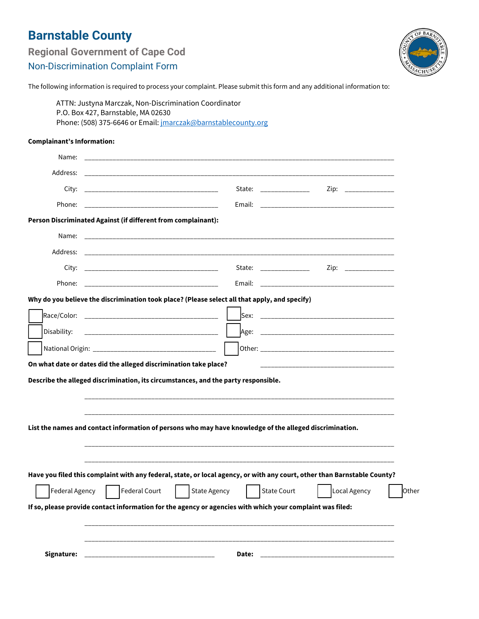## **Barnstable County**

| <b>Regional Government of Cape Cod</b>   |  |  |
|------------------------------------------|--|--|
| <b>Non-Discrimination Complaint Form</b> |  |  |



The following information is required to process your complaint. Please submit this form and any additional information to:

ATTN: Justyna Marczak, Non-Discrimination Coordinator P.O. Box 427, Barnstable, MA 02630 Phone: (508) 375-6646 or Email: jmarczak@barnstablecounty.org

## **Complainant's Information:**

| Name:                                                                                                     |                                                                                                                          |                                                                                                                                                                                                                                |                      |       |  |  |
|-----------------------------------------------------------------------------------------------------------|--------------------------------------------------------------------------------------------------------------------------|--------------------------------------------------------------------------------------------------------------------------------------------------------------------------------------------------------------------------------|----------------------|-------|--|--|
| Address:                                                                                                  |                                                                                                                          |                                                                                                                                                                                                                                |                      |       |  |  |
|                                                                                                           |                                                                                                                          | State: and the state of the state of the state of the state of the state of the state of the state of the state of the state of the state of the state of the state of the state of the state of the state of the state of the | Zip: ______________  |       |  |  |
| Phone:                                                                                                    | <u> 1999 - Johann John Harry, mars and de Brasilian (b. 1989)</u>                                                        |                                                                                                                                                                                                                                |                      |       |  |  |
|                                                                                                           | Person Discriminated Against (if different from complainant):                                                            |                                                                                                                                                                                                                                |                      |       |  |  |
|                                                                                                           |                                                                                                                          |                                                                                                                                                                                                                                |                      |       |  |  |
|                                                                                                           |                                                                                                                          |                                                                                                                                                                                                                                |                      |       |  |  |
|                                                                                                           |                                                                                                                          | State: _______________                                                                                                                                                                                                         | Zip: _______________ |       |  |  |
| Phone:                                                                                                    |                                                                                                                          |                                                                                                                                                                                                                                |                      |       |  |  |
|                                                                                                           | Why do you believe the discrimination took place? (Please select all that apply, and specify)                            |                                                                                                                                                                                                                                |                      |       |  |  |
|                                                                                                           |                                                                                                                          |                                                                                                                                                                                                                                |                      |       |  |  |
| Disability:                                                                                               | <u> 1989 - Johann John Harrison, mars and de la provincia de la provincia de la provincia de la provincia de la p</u>    |                                                                                                                                                                                                                                |                      |       |  |  |
|                                                                                                           |                                                                                                                          |                                                                                                                                                                                                                                |                      |       |  |  |
|                                                                                                           | On what date or dates did the alleged discrimination take place?                                                         |                                                                                                                                                                                                                                |                      |       |  |  |
| Describe the alleged discrimination, its circumstances, and the party responsible.                        |                                                                                                                          |                                                                                                                                                                                                                                |                      |       |  |  |
|                                                                                                           |                                                                                                                          |                                                                                                                                                                                                                                |                      |       |  |  |
|                                                                                                           |                                                                                                                          |                                                                                                                                                                                                                                |                      |       |  |  |
| List the names and contact information of persons who may have knowledge of the alleged discrimination.   |                                                                                                                          |                                                                                                                                                                                                                                |                      |       |  |  |
|                                                                                                           |                                                                                                                          |                                                                                                                                                                                                                                |                      |       |  |  |
|                                                                                                           |                                                                                                                          |                                                                                                                                                                                                                                |                      |       |  |  |
|                                                                                                           | Have you filed this complaint with any federal, state, or local agency, or with any court, other than Barnstable County? |                                                                                                                                                                                                                                |                      |       |  |  |
| Federal Agency                                                                                            | Federal Court<br><b>State Agency</b>                                                                                     | <b>State Court</b>                                                                                                                                                                                                             | Local Agency         | Other |  |  |
| If so, please provide contact information for the agency or agencies with which your complaint was filed: |                                                                                                                          |                                                                                                                                                                                                                                |                      |       |  |  |
|                                                                                                           |                                                                                                                          |                                                                                                                                                                                                                                |                      |       |  |  |
|                                                                                                           |                                                                                                                          |                                                                                                                                                                                                                                |                      |       |  |  |
| Signature:                                                                                                | <u> 1989 - Johann John Stone, market fan it ferskearre fan it ferskearre fan it ferskearre fan it ferskearre fan i</u>   |                                                                                                                                                                                                                                |                      |       |  |  |
|                                                                                                           |                                                                                                                          |                                                                                                                                                                                                                                |                      |       |  |  |